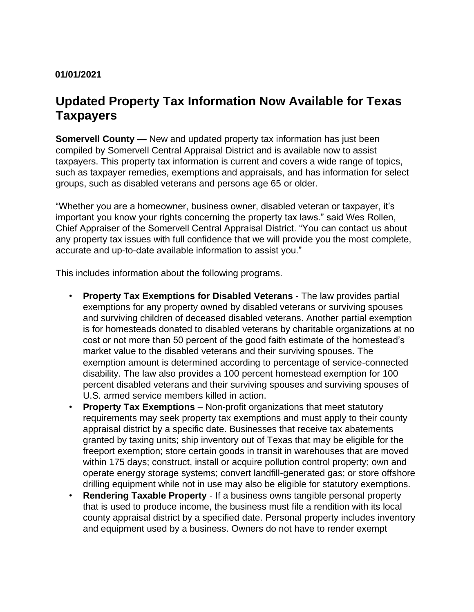## **01/01/2021**

## **Updated Property Tax Information Now Available for Texas Taxpayers**

**Somervell County —** New and updated property tax information has just been compiled by Somervell Central Appraisal District and is available now to assist taxpayers. This property tax information is current and covers a wide range of topics, such as taxpayer remedies, exemptions and appraisals, and has information for select groups, such as disabled veterans and persons age 65 or older.

"Whether you are a homeowner, business owner, disabled veteran or taxpayer, it's important you know your rights concerning the property tax laws." said Wes Rollen, Chief Appraiser of the Somervell Central Appraisal District. "You can contact us about any property tax issues with full confidence that we will provide you the most complete, accurate and up-to-date available information to assist you."

This includes information about the following programs.

- **Property Tax Exemptions for Disabled Veterans**  The law provides partial exemptions for any property owned by disabled veterans or surviving spouses and surviving children of deceased disabled veterans. Another partial exemption is for homesteads donated to disabled veterans by charitable organizations at no cost or not more than 50 percent of the good faith estimate of the homestead's market value to the disabled veterans and their surviving spouses. The exemption amount is determined according to percentage of service-connected disability. The law also provides a 100 percent homestead exemption for 100 percent disabled veterans and their surviving spouses and surviving spouses of U.S. armed service members killed in action.
- **Property Tax Exemptions**  Non-profit organizations that meet statutory requirements may seek property tax exemptions and must apply to their county appraisal district by a specific date. Businesses that receive tax abatements granted by taxing units; ship inventory out of Texas that may be eligible for the freeport exemption; store certain goods in transit in warehouses that are moved within 175 days; construct, install or acquire pollution control property; own and operate energy storage systems; convert landfill-generated gas; or store offshore drilling equipment while not in use may also be eligible for statutory exemptions.
- **Rendering Taxable Property**  If a business owns tangible personal property that is used to produce income, the business must file a rendition with its local county appraisal district by a specified date. Personal property includes inventory and equipment used by a business. Owners do not have to render exempt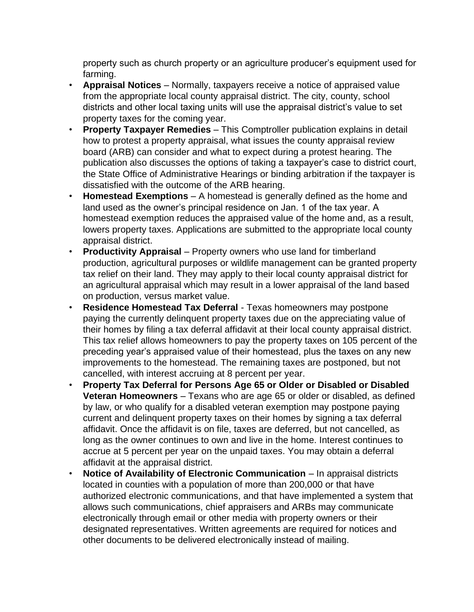property such as church property or an agriculture producer's equipment used for farming.

- **Appraisal Notices**  Normally, taxpayers receive a notice of appraised value from the appropriate local county appraisal district. The city, county, school districts and other local taxing units will use the appraisal district's value to set property taxes for the coming year.
- **Property Taxpayer Remedies** This Comptroller publication explains in detail how to protest a property appraisal, what issues the county appraisal review board (ARB) can consider and what to expect during a protest hearing. The publication also discusses the options of taking a taxpayer's case to district court, the State Office of Administrative Hearings or binding arbitration if the taxpayer is dissatisfied with the outcome of the ARB hearing.
- **Homestead Exemptions**  A homestead is generally defined as the home and land used as the owner's principal residence on Jan. 1 of the tax year. A homestead exemption reduces the appraised value of the home and, as a result, lowers property taxes. Applications are submitted to the appropriate local county appraisal district.
- **Productivity Appraisal**  Property owners who use land for timberland production, agricultural purposes or wildlife management can be granted property tax relief on their land. They may apply to their local county appraisal district for an agricultural appraisal which may result in a lower appraisal of the land based on production, versus market value.
- **Residence Homestead Tax Deferral**  Texas homeowners may postpone paying the currently delinquent property taxes due on the appreciating value of their homes by filing a tax deferral affidavit at their local county appraisal district. This tax relief allows homeowners to pay the property taxes on 105 percent of the preceding year's appraised value of their homestead, plus the taxes on any new improvements to the homestead. The remaining taxes are postponed, but not cancelled, with interest accruing at 8 percent per year.
- **Property Tax Deferral for Persons Age 65 or Older or Disabled or Disabled Veteran Homeowners** – Texans who are age 65 or older or disabled, as defined by law, or who qualify for a disabled veteran exemption may postpone paying current and delinquent property taxes on their homes by signing a tax deferral affidavit. Once the affidavit is on file, taxes are deferred, but not cancelled, as long as the owner continues to own and live in the home. Interest continues to accrue at 5 percent per year on the unpaid taxes. You may obtain a deferral affidavit at the appraisal district.
- **Notice of Availability of Electronic Communication In appraisal districts** located in counties with a population of more than 200,000 or that have authorized electronic communications, and that have implemented a system that allows such communications, chief appraisers and ARBs may communicate electronically through email or other media with property owners or their designated representatives. Written agreements are required for notices and other documents to be delivered electronically instead of mailing.